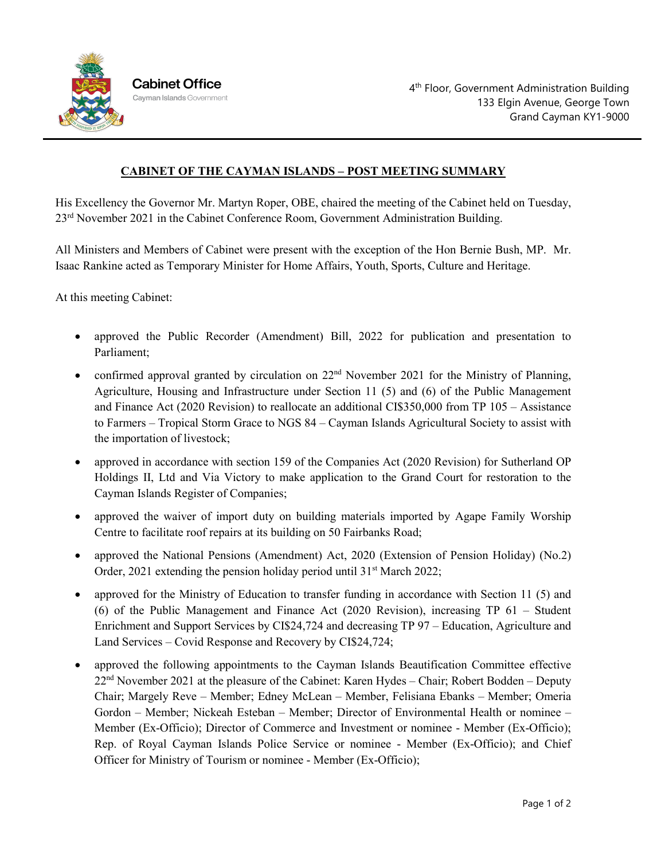

## **CABINET OF THE CAYMAN ISLANDS – POST MEETING SUMMARY**

His Excellency the Governor Mr. Martyn Roper, OBE, chaired the meeting of the Cabinet held on Tuesday, 23rd November 2021 in the Cabinet Conference Room, Government Administration Building.

All Ministers and Members of Cabinet were present with the exception of the Hon Bernie Bush, MP. Mr. Isaac Rankine acted as Temporary Minister for Home Affairs, Youth, Sports, Culture and Heritage.

At this meeting Cabinet:

- approved the Public Recorder (Amendment) Bill, 2022 for publication and presentation to Parliament;
- confirmed approval granted by circulation on  $22<sup>nd</sup>$  November 2021 for the Ministry of Planning, Agriculture, Housing and Infrastructure under Section 11 (5) and (6) of the Public Management and Finance Act (2020 Revision) to reallocate an additional CI\$350,000 from TP 105 – Assistance to Farmers – Tropical Storm Grace to NGS 84 – Cayman Islands Agricultural Society to assist with the importation of livestock;
- approved in accordance with section 159 of the Companies Act (2020 Revision) for Sutherland OP Holdings II, Ltd and Via Victory to make application to the Grand Court for restoration to the Cayman Islands Register of Companies;
- approved the waiver of import duty on building materials imported by Agape Family Worship Centre to facilitate roof repairs at its building on 50 Fairbanks Road;
- approved the National Pensions (Amendment) Act, 2020 (Extension of Pension Holiday) (No.2) Order, 2021 extending the pension holiday period until  $31<sup>st</sup>$  March 2022;
- approved for the Ministry of Education to transfer funding in accordance with Section 11 (5) and (6) of the Public Management and Finance Act (2020 Revision), increasing TP 61 – Student Enrichment and Support Services by CI\$24,724 and decreasing TP 97 – Education, Agriculture and Land Services – Covid Response and Recovery by CI\$24,724;
- approved the following appointments to the Cayman Islands Beautification Committee effective 22<sup>nd</sup> November 2021 at the pleasure of the Cabinet: Karen Hydes – Chair; Robert Bodden – Deputy Chair; Margely Reve – Member; Edney McLean – Member, Felisiana Ebanks – Member; Omeria Gordon – Member; Nickeah Esteban – Member; Director of Environmental Health or nominee – Member (Ex-Officio); Director of Commerce and Investment or nominee - Member (Ex-Officio); Rep. of Royal Cayman Islands Police Service or nominee - Member (Ex-Officio); and Chief Officer for Ministry of Tourism or nominee - Member (Ex-Officio);